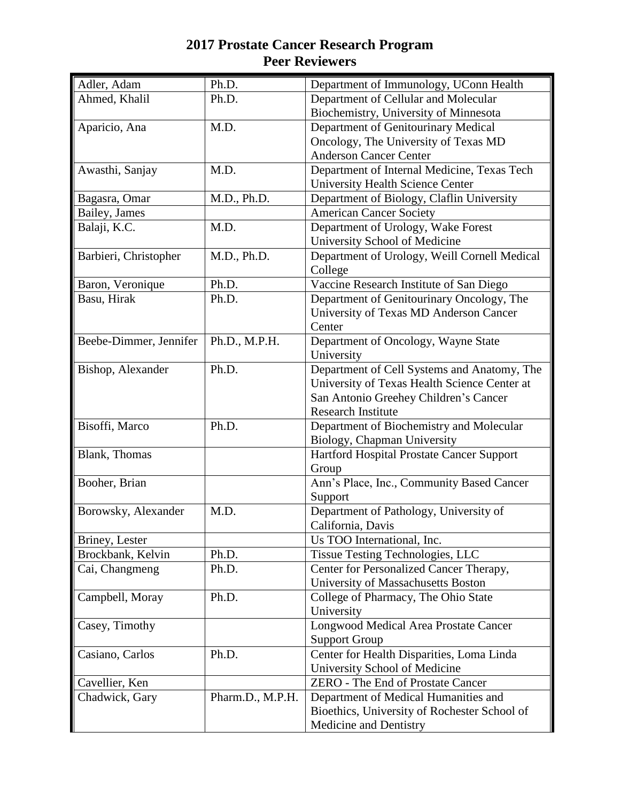| Adler, Adam            | Ph.D.            | Department of Immunology, UConn Health                                      |
|------------------------|------------------|-----------------------------------------------------------------------------|
| Ahmed, Khalil          | Ph.D.            | Department of Cellular and Molecular                                        |
|                        |                  | Biochemistry, University of Minnesota                                       |
| Aparicio, Ana          | M.D.             | Department of Genitourinary Medical                                         |
|                        |                  | Oncology, The University of Texas MD                                        |
|                        |                  | <b>Anderson Cancer Center</b>                                               |
| Awasthi, Sanjay        | M.D.             | Department of Internal Medicine, Texas Tech                                 |
|                        |                  | <b>University Health Science Center</b>                                     |
| Bagasra, Omar          | M.D., Ph.D.      | Department of Biology, Claflin University                                   |
| Bailey, James          |                  | <b>American Cancer Society</b>                                              |
| Balaji, K.C.           | M.D.             | Department of Urology, Wake Forest                                          |
|                        |                  | University School of Medicine                                               |
| Barbieri, Christopher  | M.D., Ph.D.      | Department of Urology, Weill Cornell Medical                                |
|                        |                  | College                                                                     |
| Baron, Veronique       | Ph.D.            | Vaccine Research Institute of San Diego                                     |
| Basu, Hirak            | Ph.D.            | Department of Genitourinary Oncology, The                                   |
|                        |                  | University of Texas MD Anderson Cancer                                      |
|                        |                  | Center                                                                      |
| Beebe-Dimmer, Jennifer | Ph.D., M.P.H.    | Department of Oncology, Wayne State                                         |
|                        |                  | University                                                                  |
| Bishop, Alexander      | Ph.D.            | Department of Cell Systems and Anatomy, The                                 |
|                        |                  | University of Texas Health Science Center at                                |
|                        |                  | San Antonio Greehey Children's Cancer                                       |
|                        |                  | <b>Research Institute</b>                                                   |
| Bisoffi, Marco         | Ph.D.            | Department of Biochemistry and Molecular                                    |
|                        |                  | Biology, Chapman University                                                 |
| Blank, Thomas          |                  | Hartford Hospital Prostate Cancer Support                                   |
|                        |                  | Group                                                                       |
| Booher, Brian          |                  | Ann's Place, Inc., Community Based Cancer                                   |
|                        |                  | Support                                                                     |
| Borowsky, Alexander    | M.D.             | Department of Pathology, University of                                      |
|                        |                  | California, Davis                                                           |
| Briney, Lester         | Ph.D.            | Us TOO International, Inc.                                                  |
| Brockbank, Kelvin      | Ph.D.            | Tissue Testing Technologies, LLC<br>Center for Personalized Cancer Therapy, |
| Cai, Changmeng         |                  |                                                                             |
| Campbell, Moray        | Ph.D.            | University of Massachusetts Boston<br>College of Pharmacy, The Ohio State   |
|                        |                  | University                                                                  |
| Casey, Timothy         |                  | <b>Longwood Medical Area Prostate Cancer</b>                                |
|                        |                  | <b>Support Group</b>                                                        |
| Casiano, Carlos        | Ph.D.            | Center for Health Disparities, Loma Linda                                   |
|                        |                  | University School of Medicine                                               |
| Cavellier, Ken         |                  | ZERO - The End of Prostate Cancer                                           |
| Chadwick, Gary         | Pharm.D., M.P.H. | Department of Medical Humanities and                                        |
|                        |                  | Bioethics, University of Rochester School of                                |
|                        |                  | Medicine and Dentistry                                                      |
|                        |                  |                                                                             |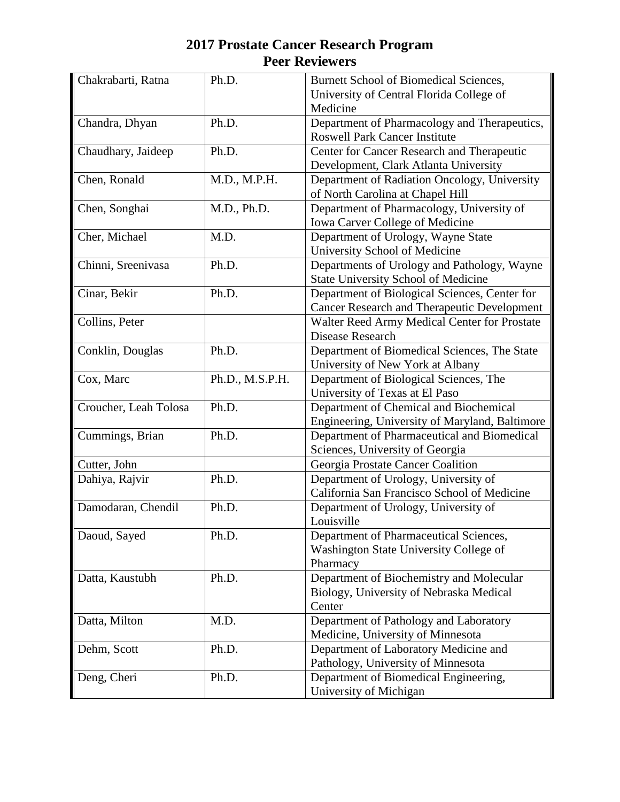| Chakrabarti, Ratna    | Ph.D.           | Burnett School of Biomedical Sciences,             |
|-----------------------|-----------------|----------------------------------------------------|
|                       |                 | University of Central Florida College of           |
|                       |                 | Medicine                                           |
| Chandra, Dhyan        | Ph.D.           | Department of Pharmacology and Therapeutics,       |
|                       |                 | <b>Roswell Park Cancer Institute</b>               |
| Chaudhary, Jaideep    | Ph.D.           | Center for Cancer Research and Therapeutic         |
|                       |                 | Development, Clark Atlanta University              |
| Chen, Ronald          | M.D., M.P.H.    | Department of Radiation Oncology, University       |
|                       |                 | of North Carolina at Chapel Hill                   |
| Chen, Songhai         | M.D., Ph.D.     | Department of Pharmacology, University of          |
|                       |                 | Iowa Carver College of Medicine                    |
| Cher, Michael         | M.D.            | Department of Urology, Wayne State                 |
|                       |                 | University School of Medicine                      |
| Chinni, Sreenivasa    | Ph.D.           | Departments of Urology and Pathology, Wayne        |
|                       |                 | State University School of Medicine                |
| Cinar, Bekir          | Ph.D.           | Department of Biological Sciences, Center for      |
|                       |                 | <b>Cancer Research and Therapeutic Development</b> |
| Collins, Peter        |                 | Walter Reed Army Medical Center for Prostate       |
|                       |                 | Disease Research                                   |
| Conklin, Douglas      | Ph.D.           | Department of Biomedical Sciences, The State       |
|                       |                 | University of New York at Albany                   |
| Cox, Marc             | Ph.D., M.S.P.H. | Department of Biological Sciences, The             |
|                       |                 | University of Texas at El Paso                     |
| Croucher, Leah Tolosa | Ph.D.           | Department of Chemical and Biochemical             |
|                       |                 | Engineering, University of Maryland, Baltimore     |
| Cummings, Brian       | Ph.D.           | Department of Pharmaceutical and Biomedical        |
|                       |                 | Sciences, University of Georgia                    |
| Cutter, John          |                 | Georgia Prostate Cancer Coalition                  |
| Dahiya, Rajvir        | Ph.D.           | Department of Urology, University of               |
|                       |                 | California San Francisco School of Medicine        |
| Damodaran, Chendil    | Ph.D.           | Department of Urology, University of               |
|                       |                 | Louisville                                         |
| Daoud, Sayed          | Ph.D.           | Department of Pharmaceutical Sciences,             |
|                       |                 | Washington State University College of             |
|                       |                 | Pharmacy                                           |
| Datta, Kaustubh       | Ph.D.           | Department of Biochemistry and Molecular           |
|                       |                 | Biology, University of Nebraska Medical            |
|                       |                 | Center                                             |
| Datta, Milton         | M.D.            | Department of Pathology and Laboratory             |
|                       |                 | Medicine, University of Minnesota                  |
| Dehm, Scott           | Ph.D.           | Department of Laboratory Medicine and              |
|                       |                 | Pathology, University of Minnesota                 |
| Deng, Cheri           | Ph.D.           | Department of Biomedical Engineering,              |
|                       |                 | University of Michigan                             |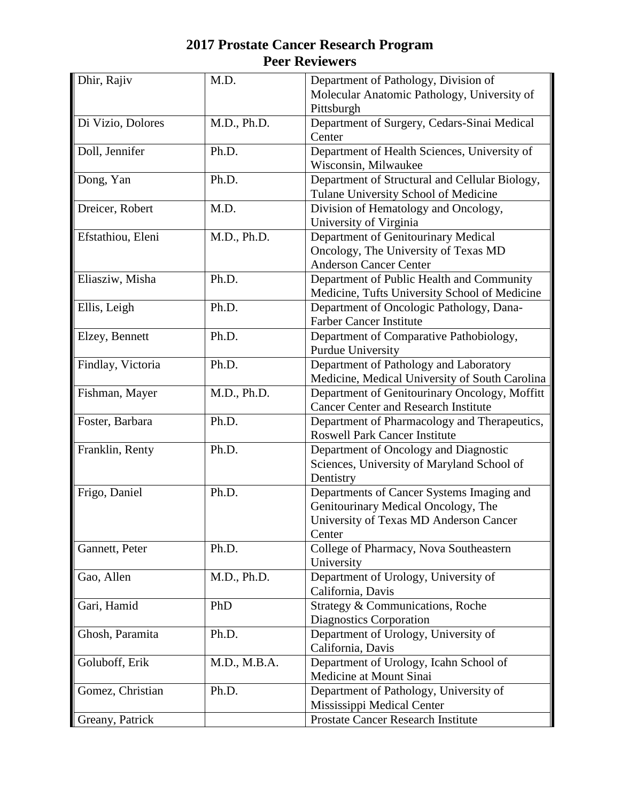| Dhir, Rajiv       | M.D.         | Department of Pathology, Division of           |
|-------------------|--------------|------------------------------------------------|
|                   |              | Molecular Anatomic Pathology, University of    |
|                   |              | Pittsburgh                                     |
| Di Vizio, Dolores | M.D., Ph.D.  | Department of Surgery, Cedars-Sinai Medical    |
|                   |              | Center                                         |
| Doll, Jennifer    | Ph.D.        | Department of Health Sciences, University of   |
|                   |              | Wisconsin, Milwaukee                           |
| Dong, Yan         | Ph.D.        | Department of Structural and Cellular Biology, |
|                   |              | Tulane University School of Medicine           |
| Dreicer, Robert   | M.D.         | Division of Hematology and Oncology,           |
|                   |              | University of Virginia                         |
| Efstathiou, Eleni | M.D., Ph.D.  | Department of Genitourinary Medical            |
|                   |              | Oncology, The University of Texas MD           |
|                   |              | <b>Anderson Cancer Center</b>                  |
| Eliasziw, Misha   | Ph.D.        | Department of Public Health and Community      |
|                   |              | Medicine, Tufts University School of Medicine  |
| Ellis, Leigh      | Ph.D.        | Department of Oncologic Pathology, Dana-       |
|                   |              | <b>Farber Cancer Institute</b>                 |
| Elzey, Bennett    | Ph.D.        | Department of Comparative Pathobiology,        |
|                   |              | Purdue University                              |
| Findlay, Victoria | Ph.D.        | Department of Pathology and Laboratory         |
|                   |              | Medicine, Medical University of South Carolina |
| Fishman, Mayer    | M.D., Ph.D.  | Department of Genitourinary Oncology, Moffitt  |
|                   |              | <b>Cancer Center and Research Institute</b>    |
| Foster, Barbara   | Ph.D.        | Department of Pharmacology and Therapeutics,   |
|                   |              | <b>Roswell Park Cancer Institute</b>           |
| Franklin, Renty   | Ph.D.        | Department of Oncology and Diagnostic          |
|                   |              | Sciences, University of Maryland School of     |
|                   |              | Dentistry                                      |
| Frigo, Daniel     | Ph.D.        | Departments of Cancer Systems Imaging and      |
|                   |              | Genitourinary Medical Oncology, The            |
|                   |              | University of Texas MD Anderson Cancer         |
|                   |              | Center                                         |
| Gannett, Peter    | Ph.D.        | College of Pharmacy, Nova Southeastern         |
|                   |              | University                                     |
| Gao, Allen        | M.D., Ph.D.  | Department of Urology, University of           |
|                   |              | California, Davis                              |
| Gari, Hamid       | PhD          | Strategy & Communications, Roche               |
|                   |              | <b>Diagnostics Corporation</b>                 |
| Ghosh, Paramita   | Ph.D.        | Department of Urology, University of           |
|                   |              | California, Davis                              |
| Goluboff, Erik    | M.D., M.B.A. | Department of Urology, Icahn School of         |
|                   |              | Medicine at Mount Sinai                        |
| Gomez, Christian  | Ph.D.        | Department of Pathology, University of         |
|                   |              | Mississippi Medical Center                     |
| Greany, Patrick   |              | Prostate Cancer Research Institute             |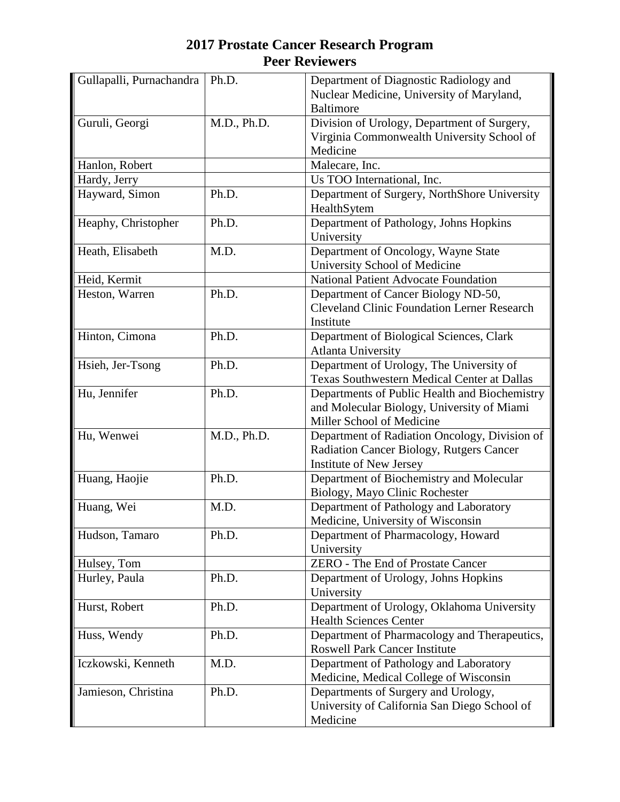| Gullapalli, Purnachandra | Ph.D.       | Department of Diagnostic Radiology and             |
|--------------------------|-------------|----------------------------------------------------|
|                          |             | Nuclear Medicine, University of Maryland,          |
|                          |             | <b>Baltimore</b>                                   |
| Guruli, Georgi           | M.D., Ph.D. | Division of Urology, Department of Surgery,        |
|                          |             | Virginia Commonwealth University School of         |
|                          |             | Medicine                                           |
| Hanlon, Robert           |             | Malecare, Inc.                                     |
| Hardy, Jerry             |             | Us TOO International, Inc.                         |
| Hayward, Simon           | Ph.D.       | Department of Surgery, NorthShore University       |
|                          |             | HealthSytem                                        |
| Heaphy, Christopher      | Ph.D.       | Department of Pathology, Johns Hopkins             |
|                          |             | University                                         |
| Heath, Elisabeth         | M.D.        | Department of Oncology, Wayne State                |
|                          |             | University School of Medicine                      |
| Heid, Kermit             |             | <b>National Patient Advocate Foundation</b>        |
| Heston, Warren           | Ph.D.       | Department of Cancer Biology ND-50,                |
|                          |             | <b>Cleveland Clinic Foundation Lerner Research</b> |
|                          |             | Institute                                          |
| Hinton, Cimona           | Ph.D.       | Department of Biological Sciences, Clark           |
|                          |             | <b>Atlanta University</b>                          |
| Hsieh, Jer-Tsong         | Ph.D.       | Department of Urology, The University of           |
|                          |             | Texas Southwestern Medical Center at Dallas        |
| Hu, Jennifer             | Ph.D.       | Departments of Public Health and Biochemistry      |
|                          |             | and Molecular Biology, University of Miami         |
|                          |             | Miller School of Medicine                          |
| Hu, Wenwei               | M.D., Ph.D. | Department of Radiation Oncology, Division of      |
|                          |             | Radiation Cancer Biology, Rutgers Cancer           |
|                          |             | Institute of New Jersey                            |
| Huang, Haojie            | Ph.D.       | Department of Biochemistry and Molecular           |
|                          |             | Biology, Mayo Clinic Rochester                     |
| Huang, Wei               | M.D.        | Department of Pathology and Laboratory             |
|                          |             | Medicine, University of Wisconsin                  |
| Hudson, Tamaro           | Ph.D.       | Department of Pharmacology, Howard                 |
|                          |             | University                                         |
| Hulsey, Tom              |             | <b>ZERO</b> - The End of Prostate Cancer           |
| Hurley, Paula            | Ph.D.       | Department of Urology, Johns Hopkins               |
|                          |             | University                                         |
| Hurst, Robert            | Ph.D.       | Department of Urology, Oklahoma University         |
|                          |             | <b>Health Sciences Center</b>                      |
| Huss, Wendy              | Ph.D.       | Department of Pharmacology and Therapeutics,       |
|                          |             | <b>Roswell Park Cancer Institute</b>               |
| Iczkowski, Kenneth       | M.D.        | Department of Pathology and Laboratory             |
|                          |             | Medicine, Medical College of Wisconsin             |
| Jamieson, Christina      | Ph.D.       | Departments of Surgery and Urology,                |
|                          |             | University of California San Diego School of       |
|                          |             | Medicine                                           |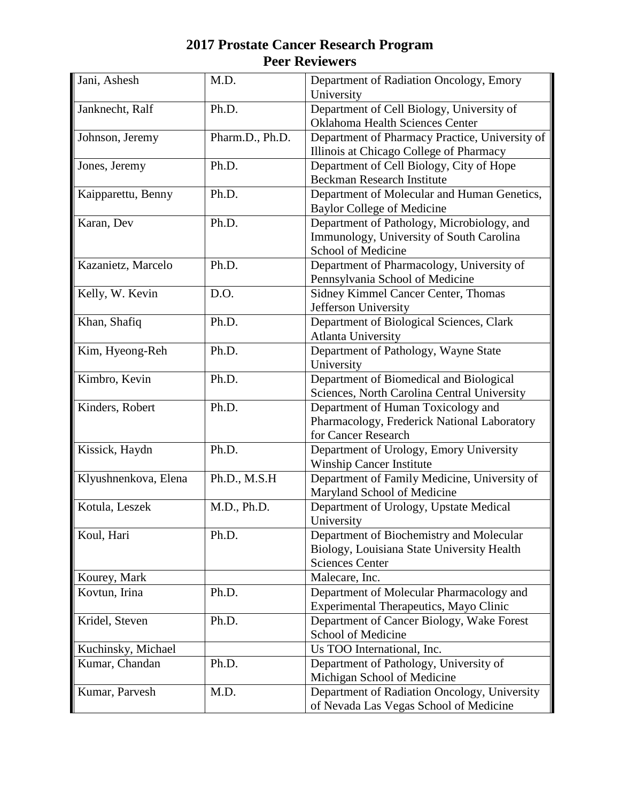| Jani, Ashesh         | M.D.            | Department of Radiation Oncology, Emory<br>University                                                            |
|----------------------|-----------------|------------------------------------------------------------------------------------------------------------------|
| Janknecht, Ralf      | Ph.D.           | Department of Cell Biology, University of<br><b>Oklahoma Health Sciences Center</b>                              |
| Johnson, Jeremy      | Pharm.D., Ph.D. | Department of Pharmacy Practice, University of<br>Illinois at Chicago College of Pharmacy                        |
| Jones, Jeremy        | Ph.D.           | Department of Cell Biology, City of Hope<br><b>Beckman Research Institute</b>                                    |
| Kaipparettu, Benny   | Ph.D.           | Department of Molecular and Human Genetics,<br><b>Baylor College of Medicine</b>                                 |
| Karan, Dev           | Ph.D.           | Department of Pathology, Microbiology, and<br>Immunology, University of South Carolina<br>School of Medicine     |
| Kazanietz, Marcelo   | Ph.D.           | Department of Pharmacology, University of<br>Pennsylvania School of Medicine                                     |
| Kelly, W. Kevin      | D.O.            | Sidney Kimmel Cancer Center, Thomas<br>Jefferson University                                                      |
| Khan, Shafiq         | Ph.D.           | Department of Biological Sciences, Clark<br><b>Atlanta University</b>                                            |
| Kim, Hyeong-Reh      | Ph.D.           | Department of Pathology, Wayne State<br>University                                                               |
| Kimbro, Kevin        | Ph.D.           | Department of Biomedical and Biological<br>Sciences, North Carolina Central University                           |
| Kinders, Robert      | Ph.D.           | Department of Human Toxicology and<br>Pharmacology, Frederick National Laboratory<br>for Cancer Research         |
| Kissick, Haydn       | Ph.D.           | Department of Urology, Emory University<br><b>Winship Cancer Institute</b>                                       |
| Klyushnenkova, Elena | Ph.D., M.S.H    | Department of Family Medicine, University of<br>Maryland School of Medicine                                      |
| Kotula, Leszek       | M.D., Ph.D.     | Department of Urology, Upstate Medical<br>University                                                             |
| Koul, Hari           | Ph.D.           | Department of Biochemistry and Molecular<br>Biology, Louisiana State University Health<br><b>Sciences Center</b> |
| Kourey, Mark         |                 | Malecare, Inc.                                                                                                   |
| Kovtun, Irina        | Ph.D.           | Department of Molecular Pharmacology and<br>Experimental Therapeutics, Mayo Clinic                               |
| Kridel, Steven       | Ph.D.           | Department of Cancer Biology, Wake Forest<br>School of Medicine                                                  |
| Kuchinsky, Michael   |                 | Us TOO International, Inc.                                                                                       |
| Kumar, Chandan       | Ph.D.           | Department of Pathology, University of<br>Michigan School of Medicine                                            |
| Kumar, Parvesh       | M.D.            | Department of Radiation Oncology, University<br>of Nevada Las Vegas School of Medicine                           |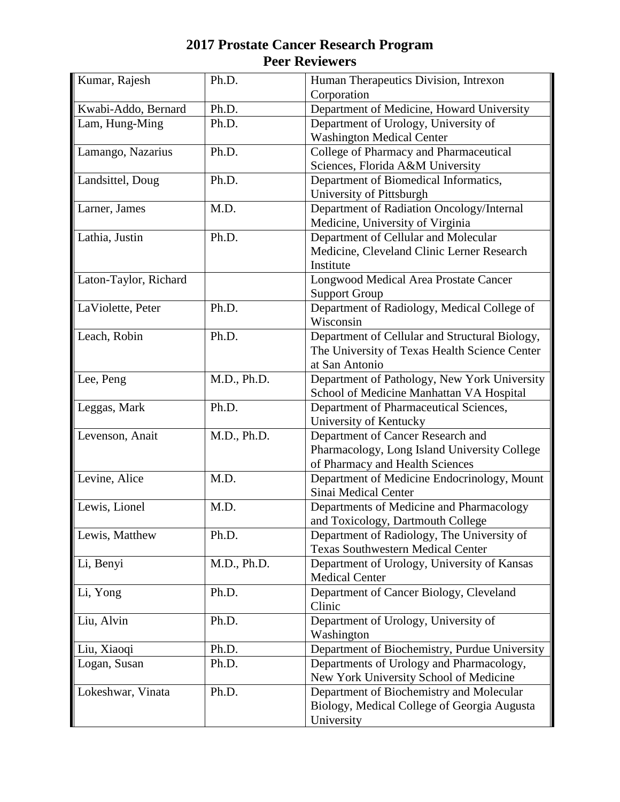| Kumar, Rajesh         | Ph.D.       | Human Therapeutics Division, Intrexon          |
|-----------------------|-------------|------------------------------------------------|
|                       |             | Corporation                                    |
| Kwabi-Addo, Bernard   | Ph.D.       | Department of Medicine, Howard University      |
| Lam, Hung-Ming        | Ph.D.       | Department of Urology, University of           |
|                       |             | <b>Washington Medical Center</b>               |
| Lamango, Nazarius     | Ph.D.       | College of Pharmacy and Pharmaceutical         |
|                       |             | Sciences, Florida A&M University               |
| Landsittel, Doug      | Ph.D.       | Department of Biomedical Informatics,          |
|                       |             | University of Pittsburgh                       |
| Larner, James         | M.D.        | Department of Radiation Oncology/Internal      |
|                       |             | Medicine, University of Virginia               |
| Lathia, Justin        | Ph.D.       | Department of Cellular and Molecular           |
|                       |             | Medicine, Cleveland Clinic Lerner Research     |
|                       |             | Institute                                      |
| Laton-Taylor, Richard |             | Longwood Medical Area Prostate Cancer          |
|                       |             | <b>Support Group</b>                           |
| LaViolette, Peter     | Ph.D.       | Department of Radiology, Medical College of    |
|                       |             | Wisconsin                                      |
| Leach, Robin          | Ph.D.       | Department of Cellular and Structural Biology, |
|                       |             | The University of Texas Health Science Center  |
|                       |             | at San Antonio                                 |
| Lee, Peng             | M.D., Ph.D. | Department of Pathology, New York University   |
|                       |             | School of Medicine Manhattan VA Hospital       |
| Leggas, Mark          | Ph.D.       | Department of Pharmaceutical Sciences,         |
|                       |             | University of Kentucky                         |
| Levenson, Anait       | M.D., Ph.D. | Department of Cancer Research and              |
|                       |             | Pharmacology, Long Island University College   |
|                       |             | of Pharmacy and Health Sciences                |
| Levine, Alice         | M.D.        | Department of Medicine Endocrinology, Mount    |
|                       |             | Sinai Medical Center                           |
| Lewis, Lionel         | M.D.        | Departments of Medicine and Pharmacology       |
|                       |             | and Toxicology, Dartmouth College              |
| Lewis, Matthew        | Ph.D.       | Department of Radiology, The University of     |
|                       |             | <b>Texas Southwestern Medical Center</b>       |
| Li, Benyi             | M.D., Ph.D. | Department of Urology, University of Kansas    |
|                       |             | <b>Medical Center</b>                          |
| Li, Yong              | Ph.D.       | Department of Cancer Biology, Cleveland        |
|                       |             | Clinic                                         |
| Liu, Alvin            | Ph.D.       | Department of Urology, University of           |
|                       |             | Washington                                     |
| Liu, Xiaoqi           | Ph.D.       | Department of Biochemistry, Purdue University  |
| Logan, Susan          | Ph.D.       | Departments of Urology and Pharmacology,       |
|                       |             | New York University School of Medicine         |
| Lokeshwar, Vinata     | Ph.D.       | Department of Biochemistry and Molecular       |
|                       |             | Biology, Medical College of Georgia Augusta    |
|                       |             | University                                     |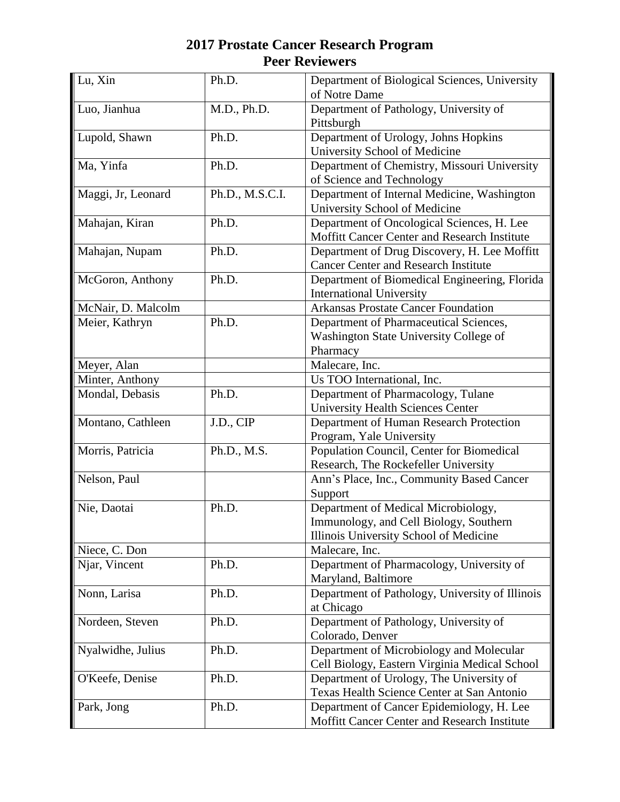| Lu, Xin            | Ph.D.           | Department of Biological Sciences, University        |
|--------------------|-----------------|------------------------------------------------------|
|                    |                 | of Notre Dame                                        |
| Luo, Jianhua       | M.D., Ph.D.     | Department of Pathology, University of<br>Pittsburgh |
| Lupold, Shawn      | Ph.D.           | Department of Urology, Johns Hopkins                 |
|                    |                 | University School of Medicine                        |
| Ma, Yinfa          | Ph.D.           | Department of Chemistry, Missouri University         |
|                    |                 | of Science and Technology                            |
| Maggi, Jr, Leonard | Ph.D., M.S.C.I. | Department of Internal Medicine, Washington          |
|                    |                 | University School of Medicine                        |
| Mahajan, Kiran     | Ph.D.           | Department of Oncological Sciences, H. Lee           |
|                    |                 | Moffitt Cancer Center and Research Institute         |
| Mahajan, Nupam     | Ph.D.           | Department of Drug Discovery, H. Lee Moffitt         |
|                    |                 | <b>Cancer Center and Research Institute</b>          |
| McGoron, Anthony   | Ph.D.           | Department of Biomedical Engineering, Florida        |
|                    |                 | <b>International University</b>                      |
| McNair, D. Malcolm |                 | <b>Arkansas Prostate Cancer Foundation</b>           |
| Meier, Kathryn     | Ph.D.           | Department of Pharmaceutical Sciences,               |
|                    |                 | Washington State University College of               |
|                    |                 | Pharmacy                                             |
| Meyer, Alan        |                 | Malecare, Inc.                                       |
| Minter, Anthony    |                 | Us TOO International, Inc.                           |
| Mondal, Debasis    | Ph.D.           | Department of Pharmacology, Tulane                   |
|                    |                 | <b>University Health Sciences Center</b>             |
| Montano, Cathleen  | J.D., CIP       | Department of Human Research Protection              |
|                    |                 | Program, Yale University                             |
| Morris, Patricia   | Ph.D., M.S.     | Population Council, Center for Biomedical            |
|                    |                 | Research, The Rockefeller University                 |
| Nelson, Paul       |                 | Ann's Place, Inc., Community Based Cancer            |
|                    |                 | Support                                              |
| Nie, Daotai        | Ph.D.           | Department of Medical Microbiology,                  |
|                    |                 | Immunology, and Cell Biology, Southern               |
|                    |                 | Illinois University School of Medicine               |
| Niece, C. Don      |                 | Malecare, Inc.                                       |
| Njar, Vincent      | Ph.D.           | Department of Pharmacology, University of            |
|                    |                 | Maryland, Baltimore                                  |
| Nonn, Larisa       | Ph.D.           | Department of Pathology, University of Illinois      |
|                    |                 | at Chicago                                           |
| Nordeen, Steven    | Ph.D.           | Department of Pathology, University of               |
|                    |                 | Colorado, Denver                                     |
| Nyalwidhe, Julius  | Ph.D.           | Department of Microbiology and Molecular             |
|                    |                 | Cell Biology, Eastern Virginia Medical School        |
| O'Keefe, Denise    | Ph.D.           | Department of Urology, The University of             |
|                    |                 | Texas Health Science Center at San Antonio           |
| Park, Jong         | Ph.D.           | Department of Cancer Epidemiology, H. Lee            |
|                    |                 | Moffitt Cancer Center and Research Institute         |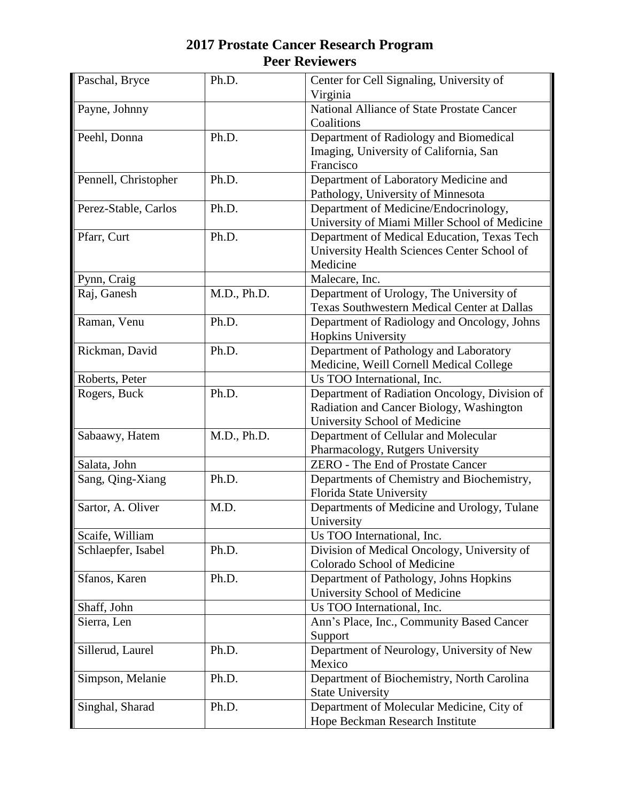| Paschal, Bryce       | Ph.D.       | Center for Cell Signaling, University of<br>Virginia                                                                       |
|----------------------|-------------|----------------------------------------------------------------------------------------------------------------------------|
| Payne, Johnny        |             | National Alliance of State Prostate Cancer<br>Coalitions                                                                   |
| Peehl, Donna         | Ph.D.       | Department of Radiology and Biomedical<br>Imaging, University of California, San<br>Francisco                              |
| Pennell, Christopher | Ph.D.       | Department of Laboratory Medicine and<br>Pathology, University of Minnesota                                                |
| Perez-Stable, Carlos | Ph.D.       | Department of Medicine/Endocrinology,<br>University of Miami Miller School of Medicine                                     |
| Pfarr, Curt          | Ph.D.       | Department of Medical Education, Texas Tech<br>University Health Sciences Center School of<br>Medicine                     |
| Pynn, Craig          |             | Malecare, Inc.                                                                                                             |
| Raj, Ganesh          | M.D., Ph.D. | Department of Urology, The University of<br>Texas Southwestern Medical Center at Dallas                                    |
| Raman, Venu          | Ph.D.       | Department of Radiology and Oncology, Johns<br>Hopkins University                                                          |
| Rickman, David       | Ph.D.       | Department of Pathology and Laboratory<br>Medicine, Weill Cornell Medical College                                          |
| Roberts, Peter       |             | Us TOO International, Inc.                                                                                                 |
| Rogers, Buck         | Ph.D.       | Department of Radiation Oncology, Division of<br>Radiation and Cancer Biology, Washington<br>University School of Medicine |
| Sabaawy, Hatem       | M.D., Ph.D. | Department of Cellular and Molecular<br>Pharmacology, Rutgers University                                                   |
| Salata, John         |             | ZERO - The End of Prostate Cancer                                                                                          |
| Sang, Qing-Xiang     | Ph.D.       | Departments of Chemistry and Biochemistry,<br>Florida State University                                                     |
| Sartor, A. Oliver    | M.D.        | Departments of Medicine and Urology, Tulane<br>University                                                                  |
| Scaife, William      |             | Us TOO International, Inc.                                                                                                 |
| Schlaepfer, Isabel   | Ph.D.       | Division of Medical Oncology, University of<br>Colorado School of Medicine                                                 |
| Sfanos, Karen        | Ph.D.       | Department of Pathology, Johns Hopkins<br>University School of Medicine                                                    |
| Shaff, John          |             | Us TOO International, Inc.                                                                                                 |
| Sierra, Len          |             | Ann's Place, Inc., Community Based Cancer<br>Support                                                                       |
| Sillerud, Laurel     | Ph.D.       | Department of Neurology, University of New<br>Mexico                                                                       |
| Simpson, Melanie     | Ph.D.       | Department of Biochemistry, North Carolina<br><b>State University</b>                                                      |
| Singhal, Sharad      | Ph.D.       | Department of Molecular Medicine, City of<br>Hope Beckman Research Institute                                               |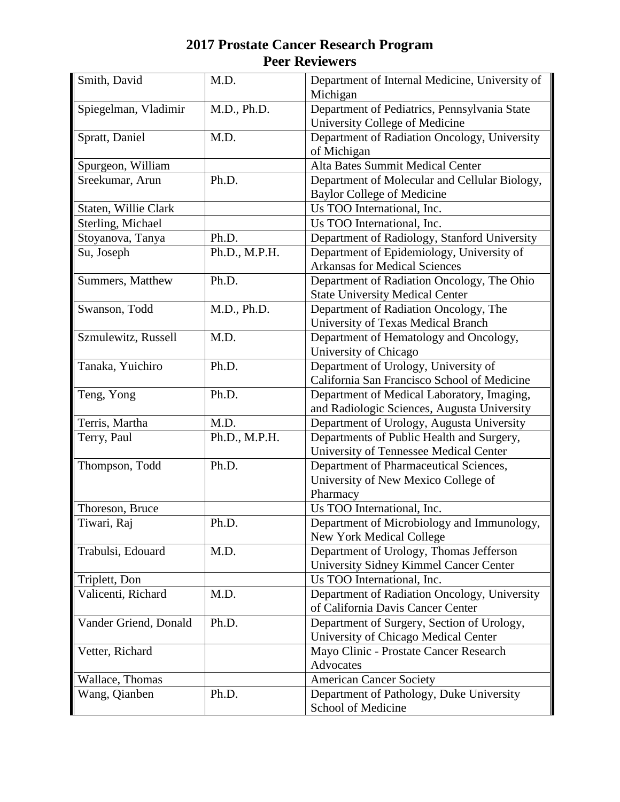| Smith, David          | M.D.          | Department of Internal Medicine, University of<br>Michigan                          |
|-----------------------|---------------|-------------------------------------------------------------------------------------|
| Spiegelman, Vladimir  | M.D., Ph.D.   | Department of Pediatrics, Pennsylvania State<br>University College of Medicine      |
|                       | M.D.          |                                                                                     |
| Spratt, Daniel        |               | Department of Radiation Oncology, University<br>of Michigan                         |
| Spurgeon, William     |               | Alta Bates Summit Medical Center                                                    |
| Sreekumar, Arun       | Ph.D.         | Department of Molecular and Cellular Biology,                                       |
|                       |               | <b>Baylor College of Medicine</b>                                                   |
| Staten, Willie Clark  |               | Us TOO International, Inc.                                                          |
| Sterling, Michael     |               | Us TOO International, Inc.                                                          |
| Stoyanova, Tanya      | Ph.D.         | Department of Radiology, Stanford University                                        |
| Su, Joseph            | Ph.D., M.P.H. | Department of Epidemiology, University of                                           |
|                       |               | <b>Arkansas for Medical Sciences</b>                                                |
| Summers, Matthew      | Ph.D.         | Department of Radiation Oncology, The Ohio                                          |
|                       |               | <b>State University Medical Center</b>                                              |
| Swanson, Todd         | M.D., Ph.D.   | Department of Radiation Oncology, The                                               |
|                       |               | University of Texas Medical Branch                                                  |
| Szmulewitz, Russell   | M.D.          | Department of Hematology and Oncology,                                              |
|                       |               | University of Chicago                                                               |
| Tanaka, Yuichiro      | Ph.D.         | Department of Urology, University of                                                |
|                       |               | California San Francisco School of Medicine                                         |
| Teng, Yong            | Ph.D.         | Department of Medical Laboratory, Imaging,                                          |
|                       |               | and Radiologic Sciences, Augusta University                                         |
| Terris, Martha        | M.D.          | Department of Urology, Augusta University                                           |
| Terry, Paul           | Ph.D., M.P.H. | Departments of Public Health and Surgery,<br>University of Tennessee Medical Center |
| Thompson, Todd        | Ph.D.         | Department of Pharmaceutical Sciences,                                              |
|                       |               | University of New Mexico College of                                                 |
|                       |               | Pharmacy                                                                            |
| Thoreson, Bruce       |               | Us TOO International, Inc.                                                          |
| Tiwari, Raj           | Ph.D.         | Department of Microbiology and Immunology,                                          |
|                       |               | <b>New York Medical College</b>                                                     |
| Trabulsi, Edouard     | M.D.          | Department of Urology, Thomas Jefferson                                             |
|                       |               | University Sidney Kimmel Cancer Center                                              |
| Triplett, Don         |               | Us TOO International, Inc.                                                          |
| Valicenti, Richard    | M.D.          | Department of Radiation Oncology, University                                        |
|                       |               | of California Davis Cancer Center                                                   |
| Vander Griend, Donald | Ph.D.         | Department of Surgery, Section of Urology,                                          |
|                       |               | University of Chicago Medical Center                                                |
| Vetter, Richard       |               | Mayo Clinic - Prostate Cancer Research                                              |
|                       |               | Advocates                                                                           |
| Wallace, Thomas       |               | <b>American Cancer Society</b>                                                      |
| Wang, Qianben         | Ph.D.         | Department of Pathology, Duke University                                            |
|                       |               | School of Medicine                                                                  |